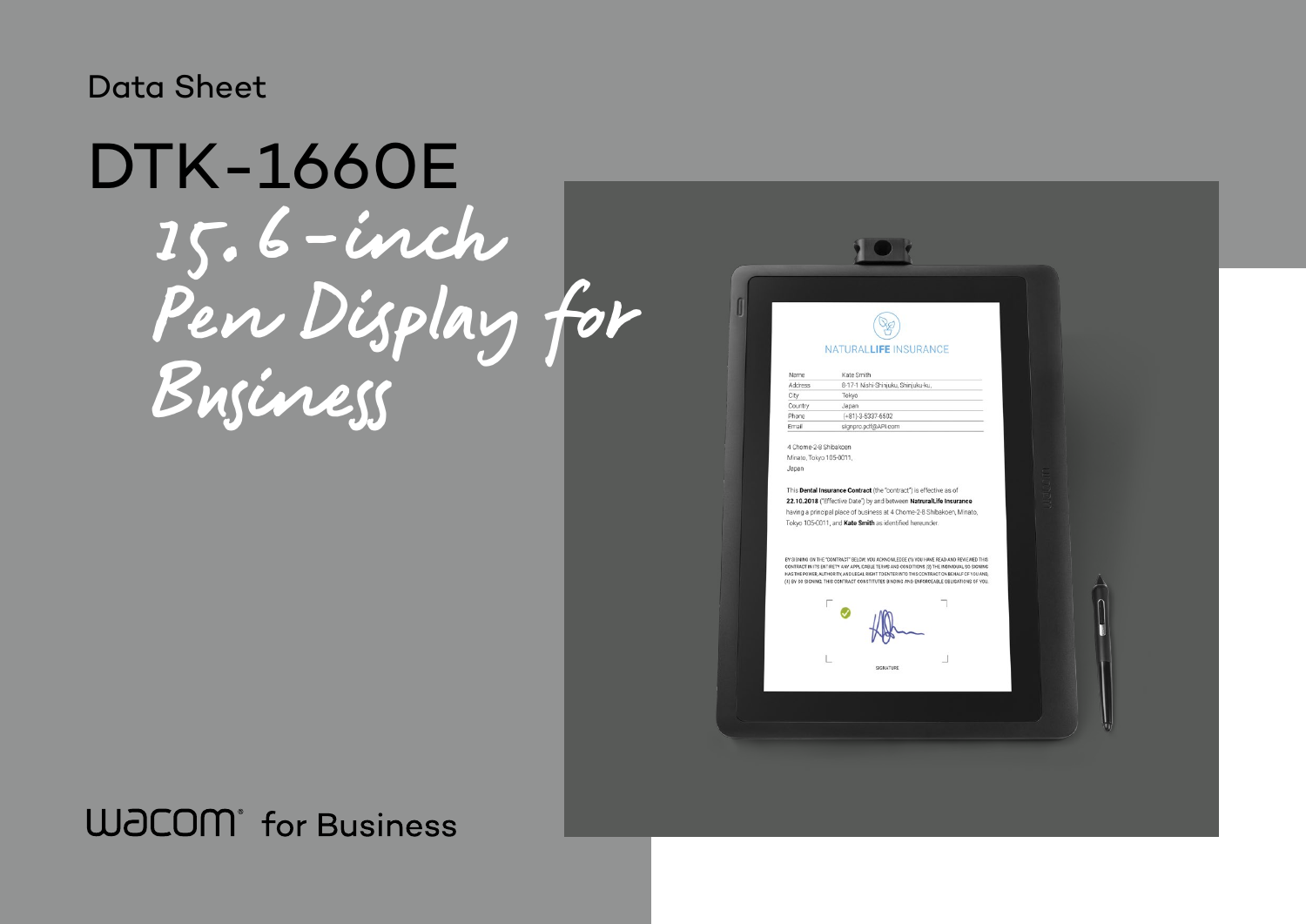# 15.6-inch Pen Display for Business DTK-1660E

## **WJCOM** for Business

NATURALLIFE INSURANCE Kate Smith Name 8-17-1 Nishi-Shinjuku, Shinjuku-ku, Address City Tokyo Country Japan

 $(+81)-3-5337-6502$ 

signpro.pdf@API.com

 $\mathbb{R}$ 

4 Chome-2-8 Shibakoen Minato, Tokyo 105-0011, Japan

Phone Fmail

This Dental Insurance Contract (the "contract") is effective as of 22.10.2018 ("Effective Date") by and between NatruralLife Insurance having a principal place of business at 4 Chome-2-8 Shibakoen, Minato, Tokyo 105-0011, and Kate Smith as identified hereunder.

BY SIGNING ON THE "CONTRACT" BELOW, YOU ACKNOWLEDGE (1) YOU HAVE READ AND REVIEWED THIS CONTRACT IN ITS ENTIRETY ANY APPLICABLE TERMS AND CONDITIONS (3) THE INDIVIDUAL SO SIGNING<br>HAS THE POWER, AUTHORITY, AND LEGAL RIGHT TO ENTERINTO THIS CONTRACT ON BEHALF OF YOU AND, (4) BY SO SIGNING, THIS CONTRACT CONSTITUTES BINDING AND ENFORCEABLE OBLIGATIONS OF YOU





### Data Sheet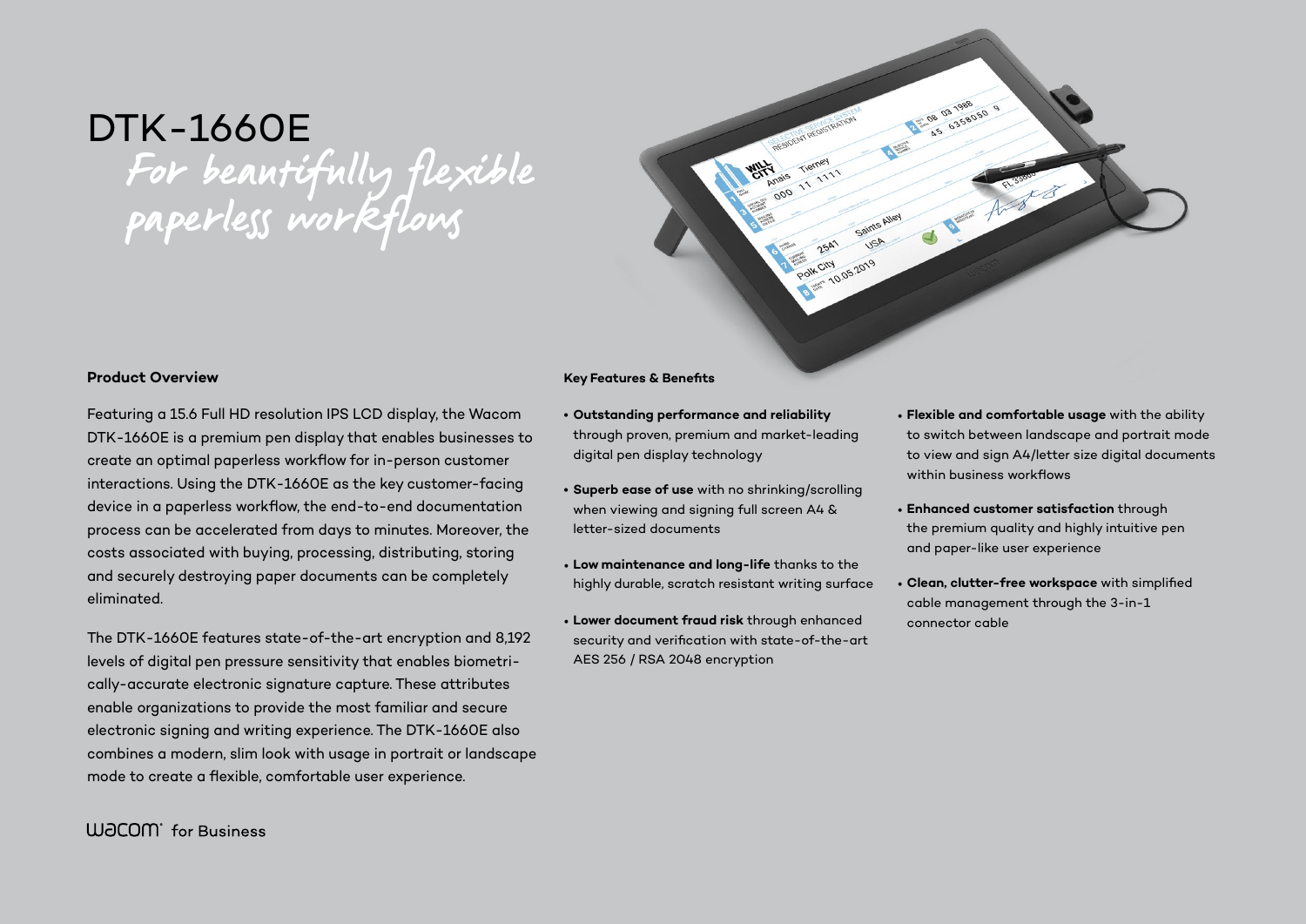# DTK-1660E For beautifully flexible paperless workflows

#### **Product Overview**

Featuring a 15.6 Full HD resolution IPS LCD display, the Wacom DTK-1660E is a premium pen display that enables businesses to create an optimal paperless workflow for in-person customer interactions. Using the DTK-1660E as the key customer-facing device in a paperless workflow, the end-to-end documentation process can be accelerated from days to minutes. Moreover, the costs associated with buying, processing, distributing, storing and securely destroying paper documents can be completely eliminated.

The DTK-1660E features state-of-the-art encryption and 8,192 levels of digital pen pressure sensitivity that enables biometrically-accurate electronic signature capture. These attributes enable organizations to provide the most familiar and secure electronic signing and writing experience. The DTK-1660E also combines a modern, slim look with usage in portrait or landscape mode to create a flexible, comfortable user experience.

#### **Key Features & Benefits**

- **• Outstanding performance and reliability** through proven, premium and market-leading digital pen display technology
- **• Superb ease of use** with no shrinking/scrolling when viewing and signing full screen A4 & letter-sized documents
- **Low maintenance and long-life** thanks to the highly durable, scratch resistant writing surface
- **Lower document fraud risk** through enhanced security and verification with state-of-the-art AES 256 / RSA 2048 encryption

POIN CIN 10.05.2019

Polk City

• **Flexible and comfortable usage** with the ability to switch between landscape and portrait mode to view and sign A4/letter size digital documents within business workflows

• **Enhanced customer satisfaction** through the premium quality and highly intuitive pen and paper-like user experience

• **Clean, clutter-free workspace** with simplified cable management through the 3-in-1

- 
- connector cable

**W**JCOM<sup>\*</sup> for Business

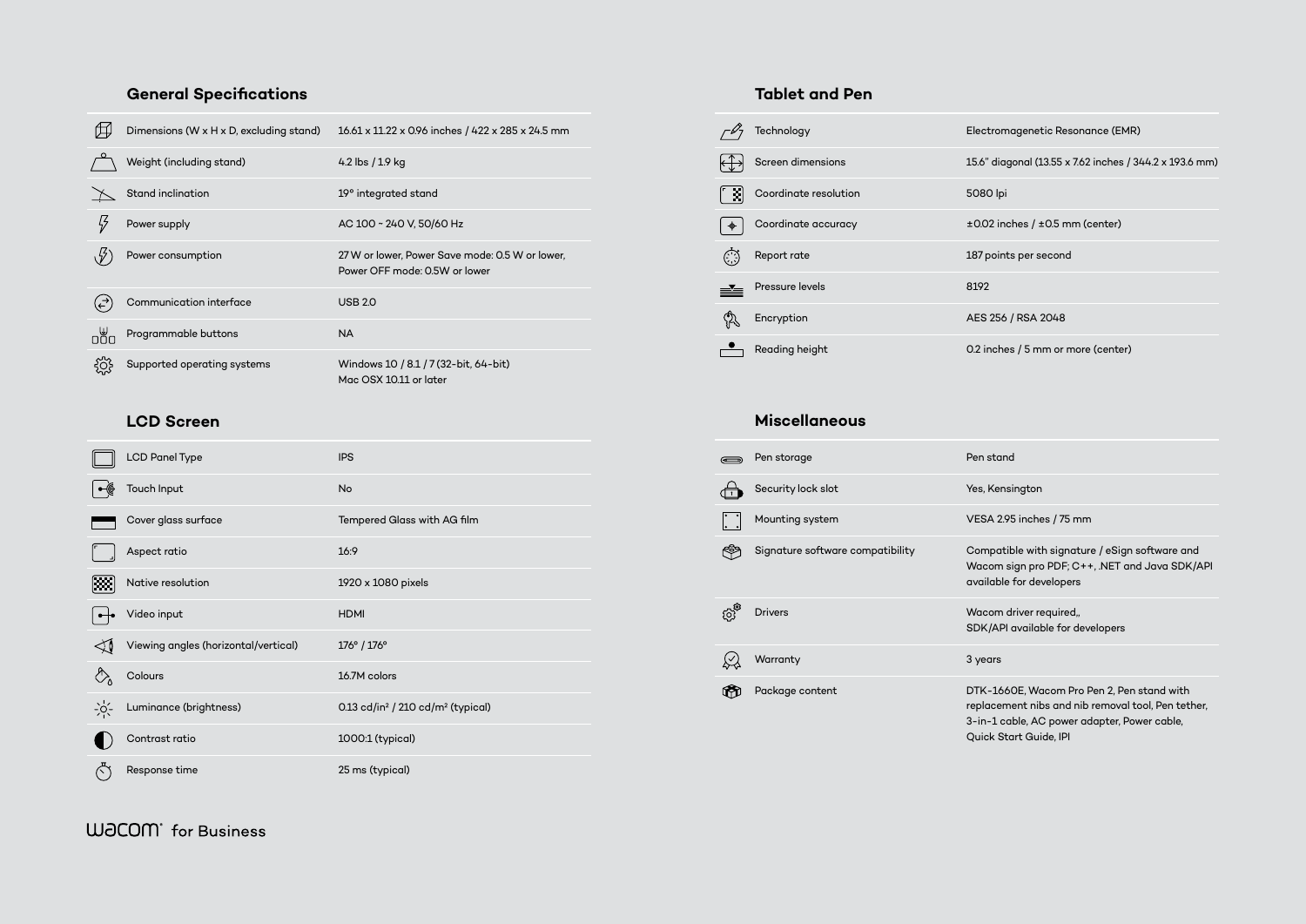### **General Specifications**

|           | Dimensions (W x H x D, excluding stand) | 16.61 x 11.22 x 0.96 inches / 422 x 285 x 24.5 mm                                |
|-----------|-----------------------------------------|----------------------------------------------------------------------------------|
|           | Weight (including stand)                | 4.2 lbs / 1.9 kg                                                                 |
|           | Stand inclination                       | 19° integrated stand                                                             |
|           | Power supply                            | AC 100 ~ 240 V, 50/60 Hz                                                         |
|           | Power consumption                       | 27 W or lower, Power Save mode: 0.5 W or lower,<br>Power OFF mode: 0.5W or lower |
|           | Communication interface                 | <b>USB 2.0</b>                                                                   |
| رس<br>ماڻ | Programmable buttons                    | <b>NA</b>                                                                        |
|           | Supported operating systems             | Windows 10 / 8.1 / 7 (32-bit, 64-bit)<br>Mac OSX 10.11 or later                  |

#### **LCD Screen**

| <b>LCD Panel Type</b>                | <b>IPS</b>                                                |
|--------------------------------------|-----------------------------------------------------------|
| Touch Input                          | No                                                        |
| Cover glass surface                  | Tempered Glass with AG film                               |
| Aspect ratio                         | 16:9                                                      |
| Native resolution                    | 1920 x 1080 pixels                                        |
| Video input                          | <b>HDMI</b>                                               |
| Viewing angles (horizontal/vertical) | 176° / 176°                                               |
| Colours                              | 16.7M colors                                              |
| Luminance (brightness)               | 0.13 cd/in <sup>2</sup> / 210 cd/m <sup>2</sup> (typical) |
| Contrast ratio                       | 1000:1 (typical)                                          |
| Response time                        | 25 ms (typical)                                           |

#### **Tablet and Pen**

-1660E, Wacom Pro Pen 2, Pen stand with cement nibs and nib removal tool, Pen tether, 1 cable, AC power adapter, Power cable, Quick Start Guide, IPI

|       | Technology            | Electron       |
|-------|-----------------------|----------------|
|       | Screen dimensions     | 15.6" dia      |
| [ˈ x] | Coordinate resolution | 5080 lpi       |
|       | Coordinate accuracy   | $±0.02$ in     |
|       | Report rate           | 187 poin       |
|       | Pressure levels       | 8192           |
|       | Encryption            | <b>AES 256</b> |
|       | Reading height        | $0.2$ inche    |

#### **Miscellaneous**

| $\qquad \qquad \Longleftrightarrow$                            | Pen storage                      | Pen stand                                                        |
|----------------------------------------------------------------|----------------------------------|------------------------------------------------------------------|
|                                                                | Security lock slot               | Yes, Kensi                                                       |
| $\begin{bmatrix} \cdot & \cdot \\ \cdot & \cdot \end{bmatrix}$ | Mounting system                  | <b>VESA 2.95</b>                                                 |
|                                                                | Signature software compatibility | Compatib<br>Wacom si<br>available t                              |
| $\ddot{Q}$                                                     | <b>Drivers</b>                   | Wacom di<br>SDK/API o                                            |
|                                                                | Warranty                         | 3 years                                                          |
|                                                                | Package content                  | DTK-1660<br>replaceme<br>$3$ -in- $1$ cal<br>$Q_{\rm thick}$ Sta |

### **WJCOM** for Business

tromagenetic Resonance (EMR)

 $\sigma$  diagonal (13.55 x 7.62 inches / 344.2 x 193.6 mm)

 $02$  inches /  $\pm 0.5$  mm (center)

points per second

Encryption ASS 2048

inches / 5 mm or more (center)

Sensington

 $\lambda$  2.95 inches / 75 mm

 $\mathsf{p}$ atible with signature / eSign software and om sign pro PDF; C++, .NET and Java SDK/API able for developers

om driver required<u>,</u>, API available for developers